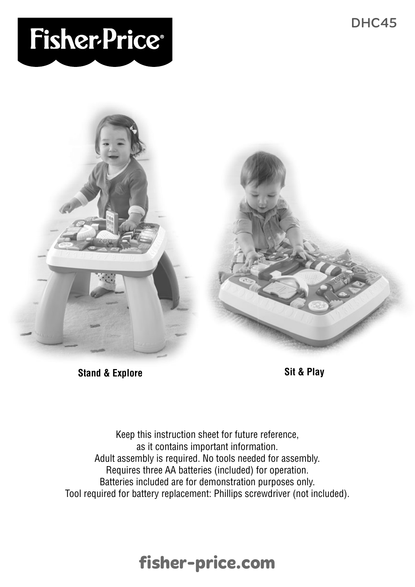# **Fisher-Price®**



**Stand & Explore Sit & Play**

Keep this instruction sheet for future reference, as it contains important information. Adult assembly is required. No tools needed for assembly. Requires three AA batteries (included) for operation. Batteries included are for demonstration purposes only. Tool required for battery replacement: Phillips screwdriver (not included).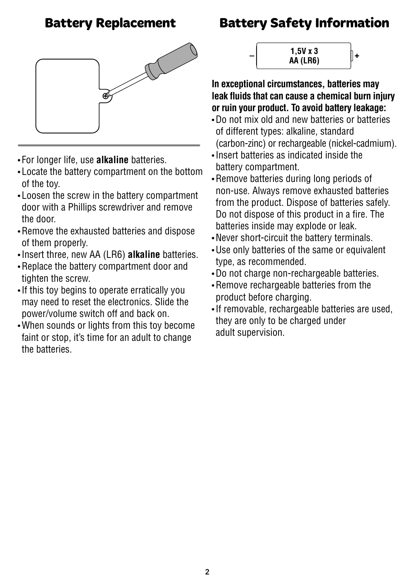

- For longer life, use **alkaline** batteries.
- Locate the battery compartment on the bottom of the toy.
- Loosen the screw in the battery compartment door with a Phillips screwdriver and remove the door.
- Remove the exhausted batteries and dispose of them properly.
- Insert three, new AA (LR6) **alkaline** batteries.
- Replace the battery compartment door and tighten the screw.
- If this toy begins to operate erratically you may need to reset the electronics. Slide the power/volume switch off and back on.
- When sounds or lights from this toy become faint or stop, it's time for an adult to change the batteries.

**Battery Replacement Battery Safety Information**



**In exceptional circumstances, batteries may leak fluids that can cause a chemical burn injury or ruin your product. To avoid battery leakage:**

- Do not mix old and new batteries or batteries of different types: alkaline, standard (carbon-zinc) or rechargeable (nickel-cadmium).
- Insert batteries as indicated inside the battery compartment.
- Remove batteries during long periods of non-use. Always remove exhausted batteries from the product. Dispose of batteries safely. Do not dispose of this product in a fire. The batteries inside may explode or leak.
- Never short-circuit the battery terminals.
- Use only batteries of the same or equivalent type, as recommended.
- Do not charge non-rechargeable batteries.
- Remove rechargeable batteries from the product before charging.
- If removable, rechargeable batteries are used, they are only to be charged under adult supervision.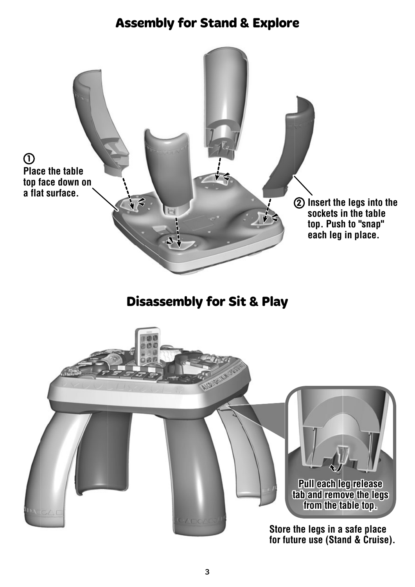### **Assembly for Stand & Explore**



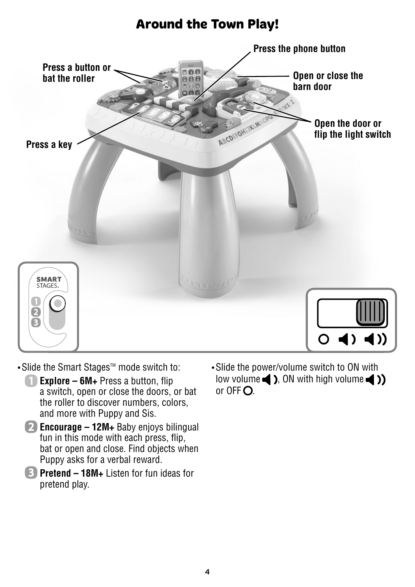#### **Around the Town Play!**



• Slide the Smart Stages<sup>™</sup> mode switch to:

- **Explore 6M+** Press a button, flip a switch, open or close the doors, or bat the roller to discover numbers, colors, and more with Puppy and Sis.
- **2** Encourage 12M+ Baby enjoys bilingual fun in this mode with each press, flip, bat or open and close. Find objects when Puppy asks for a verbal reward.
- **Pretend 18M+** Listen for fun ideas for pretend play.

• Slide the power/volume switch to ON with low volume  $\blacktriangle$  ). ON with high volume  $\blacktriangle$  ) or  $0FFO$ .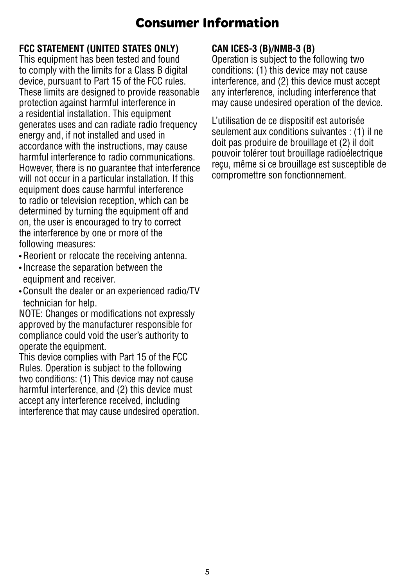# **Consumer Information**

#### **FCC STATEMENT (UNITED STATES ONLY)**

This equipment has been tested and found to comply with the limits for a Class B digital device, pursuant to Part 15 of the FCC rules. These limits are designed to provide reasonable protection against harmful interference in a residential installation. This equipment generates uses and can radiate radio frequency energy and, if not installed and used in accordance with the instructions, may cause harmful interference to radio communications. However, there is no guarantee that interference will not occur in a particular installation. If this equipment does cause harmful interference to radio or television reception, which can be determined by turning the equipment off and on, the user is encouraged to try to correct the interference by one or more of the following measures:

- Reorient or relocate the receiving antenna.
- Increase the separation between the equipment and receiver.
- Consult the dealer or an experienced radio/TV technician for help.

NOTE: Changes or modifications not expressly approved by the manufacturer responsible for compliance could void the user's authority to operate the equipment.

This device complies with Part 15 of the FCC Rules. Operation is subject to the following two conditions: (1) This device may not cause harmful interference, and (2) this device must accept any interference received, including interference that may cause undesired operation.

#### **CAN ICES-3 (B)/NMB-3 (B)**

Operation is subject to the following two conditions: (1) this device may not cause interference, and (2) this device must accept any interference, including interference that may cause undesired operation of the device.

L'utilisation de ce dispositif est autorisée seulement aux conditions suivantes : (1) il ne doit pas produire de brouillage et (2) il doit pouvoir tolérer tout brouillage radioélectrique reçu, même si ce brouillage est susceptible de compromettre son fonctionnement.